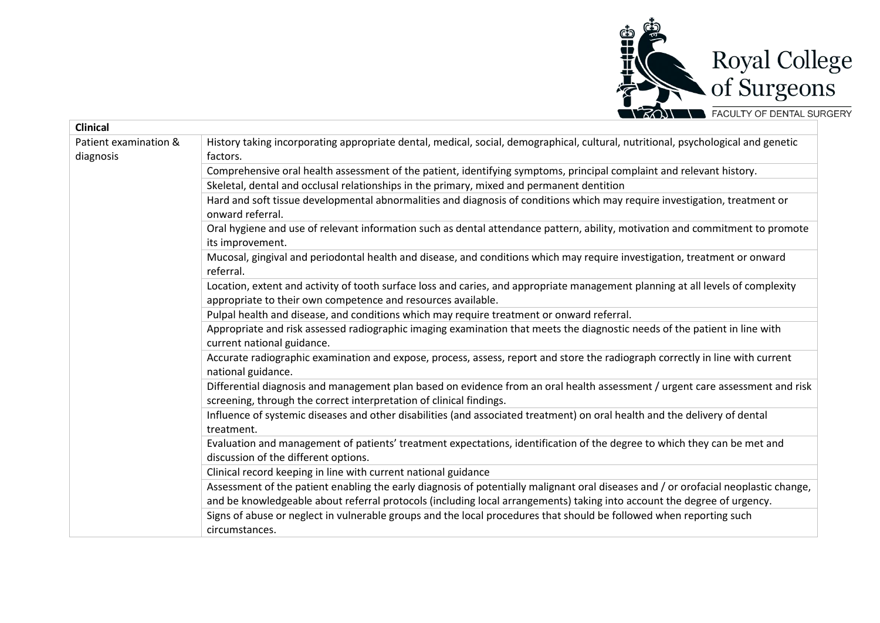

| <b>Clinical</b>                    |                                                                                                                                                                                                                                                                |
|------------------------------------|----------------------------------------------------------------------------------------------------------------------------------------------------------------------------------------------------------------------------------------------------------------|
| Patient examination &<br>diagnosis | History taking incorporating appropriate dental, medical, social, demographical, cultural, nutritional, psychological and genetic<br>factors.                                                                                                                  |
|                                    | Comprehensive oral health assessment of the patient, identifying symptoms, principal complaint and relevant history.                                                                                                                                           |
|                                    | Skeletal, dental and occlusal relationships in the primary, mixed and permanent dentition                                                                                                                                                                      |
|                                    | Hard and soft tissue developmental abnormalities and diagnosis of conditions which may require investigation, treatment or<br>onward referral.                                                                                                                 |
|                                    | Oral hygiene and use of relevant information such as dental attendance pattern, ability, motivation and commitment to promote<br>its improvement.                                                                                                              |
|                                    | Mucosal, gingival and periodontal health and disease, and conditions which may require investigation, treatment or onward<br>referral.                                                                                                                         |
|                                    | Location, extent and activity of tooth surface loss and caries, and appropriate management planning at all levels of complexity<br>appropriate to their own competence and resources available.                                                                |
|                                    | Pulpal health and disease, and conditions which may require treatment or onward referral.                                                                                                                                                                      |
|                                    | Appropriate and risk assessed radiographic imaging examination that meets the diagnostic needs of the patient in line with<br>current national guidance.                                                                                                       |
|                                    | Accurate radiographic examination and expose, process, assess, report and store the radiograph correctly in line with current<br>national guidance.                                                                                                            |
|                                    | Differential diagnosis and management plan based on evidence from an oral health assessment / urgent care assessment and risk<br>screening, through the correct interpretation of clinical findings.                                                           |
|                                    | Influence of systemic diseases and other disabilities (and associated treatment) on oral health and the delivery of dental<br>treatment.                                                                                                                       |
|                                    | Evaluation and management of patients' treatment expectations, identification of the degree to which they can be met and<br>discussion of the different options.                                                                                               |
|                                    | Clinical record keeping in line with current national guidance                                                                                                                                                                                                 |
|                                    | Assessment of the patient enabling the early diagnosis of potentially malignant oral diseases and / or orofacial neoplastic change,<br>and be knowledgeable about referral protocols (including local arrangements) taking into account the degree of urgency. |
|                                    | Signs of abuse or neglect in vulnerable groups and the local procedures that should be followed when reporting such<br>circumstances.                                                                                                                          |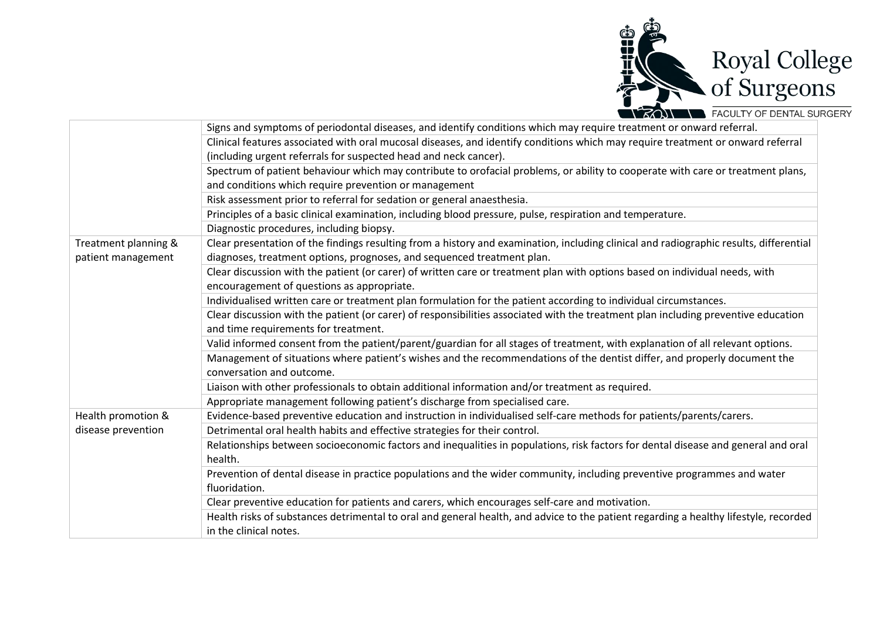

|                      | Signs and symptoms of periodontal diseases, and identify conditions which may require treatment or onward referral.                    |
|----------------------|----------------------------------------------------------------------------------------------------------------------------------------|
|                      | Clinical features associated with oral mucosal diseases, and identify conditions which may require treatment or onward referral        |
|                      | (including urgent referrals for suspected head and neck cancer).                                                                       |
|                      | Spectrum of patient behaviour which may contribute to orofacial problems, or ability to cooperate with care or treatment plans,        |
|                      | and conditions which require prevention or management                                                                                  |
|                      | Risk assessment prior to referral for sedation or general anaesthesia.                                                                 |
|                      | Principles of a basic clinical examination, including blood pressure, pulse, respiration and temperature.                              |
|                      | Diagnostic procedures, including biopsy.                                                                                               |
| Treatment planning & | Clear presentation of the findings resulting from a history and examination, including clinical and radiographic results, differential |
| patient management   | diagnoses, treatment options, prognoses, and sequenced treatment plan.                                                                 |
|                      | Clear discussion with the patient (or carer) of written care or treatment plan with options based on individual needs, with            |
|                      | encouragement of questions as appropriate.                                                                                             |
|                      | Individualised written care or treatment plan formulation for the patient according to individual circumstances.                       |
|                      | Clear discussion with the patient (or carer) of responsibilities associated with the treatment plan including preventive education     |
|                      | and time requirements for treatment.                                                                                                   |
|                      | Valid informed consent from the patient/parent/guardian for all stages of treatment, with explanation of all relevant options.         |
|                      | Management of situations where patient's wishes and the recommendations of the dentist differ, and properly document the               |
|                      | conversation and outcome.                                                                                                              |
|                      | Liaison with other professionals to obtain additional information and/or treatment as required.                                        |
|                      | Appropriate management following patient's discharge from specialised care.                                                            |
| Health promotion &   | Evidence-based preventive education and instruction in individualised self-care methods for patients/parents/carers.                   |
| disease prevention   | Detrimental oral health habits and effective strategies for their control.                                                             |
|                      | Relationships between socioeconomic factors and inequalities in populations, risk factors for dental disease and general and oral      |
|                      | health.                                                                                                                                |
|                      | Prevention of dental disease in practice populations and the wider community, including preventive programmes and water                |
|                      | fluoridation.                                                                                                                          |
|                      | Clear preventive education for patients and carers, which encourages self-care and motivation.                                         |
|                      | Health risks of substances detrimental to oral and general health, and advice to the patient regarding a healthy lifestyle, recorded   |
|                      | in the clinical notes.                                                                                                                 |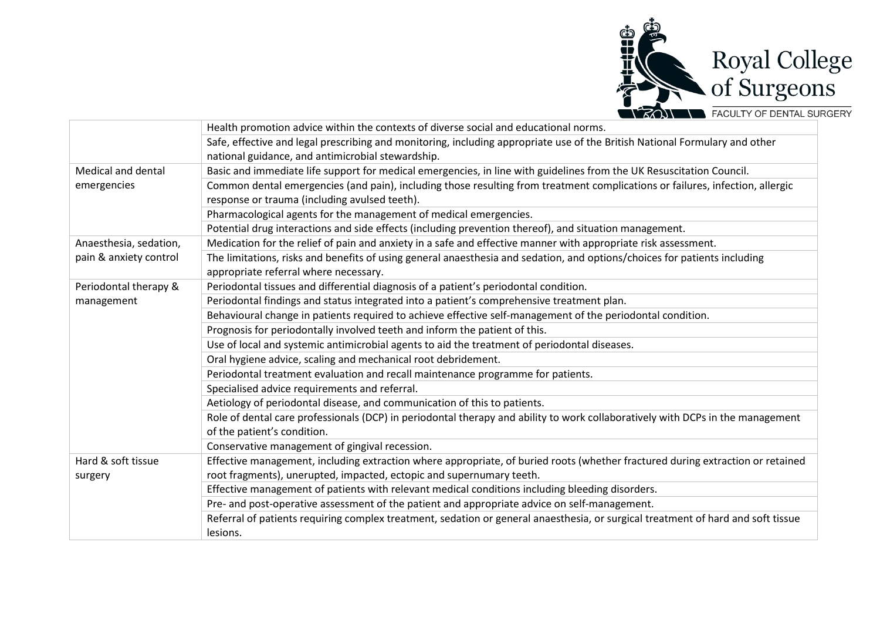

|                        | Health promotion advice within the contexts of diverse social and educational norms.                                             |
|------------------------|----------------------------------------------------------------------------------------------------------------------------------|
|                        | Safe, effective and legal prescribing and monitoring, including appropriate use of the British National Formulary and other      |
|                        | national guidance, and antimicrobial stewardship.                                                                                |
| Medical and dental     | Basic and immediate life support for medical emergencies, in line with guidelines from the UK Resuscitation Council.             |
| emergencies            | Common dental emergencies (and pain), including those resulting from treatment complications or failures, infection, allergic    |
|                        | response or trauma (including avulsed teeth).                                                                                    |
|                        | Pharmacological agents for the management of medical emergencies.                                                                |
|                        | Potential drug interactions and side effects (including prevention thereof), and situation management.                           |
| Anaesthesia, sedation, | Medication for the relief of pain and anxiety in a safe and effective manner with appropriate risk assessment.                   |
| pain & anxiety control | The limitations, risks and benefits of using general anaesthesia and sedation, and options/choices for patients including        |
|                        | appropriate referral where necessary.                                                                                            |
| Periodontal therapy &  | Periodontal tissues and differential diagnosis of a patient's periodontal condition.                                             |
| management             | Periodontal findings and status integrated into a patient's comprehensive treatment plan.                                        |
|                        | Behavioural change in patients required to achieve effective self-management of the periodontal condition.                       |
|                        | Prognosis for periodontally involved teeth and inform the patient of this.                                                       |
|                        | Use of local and systemic antimicrobial agents to aid the treatment of periodontal diseases.                                     |
|                        | Oral hygiene advice, scaling and mechanical root debridement.                                                                    |
|                        | Periodontal treatment evaluation and recall maintenance programme for patients.                                                  |
|                        | Specialised advice requirements and referral.                                                                                    |
|                        | Aetiology of periodontal disease, and communication of this to patients.                                                         |
|                        | Role of dental care professionals (DCP) in periodontal therapy and ability to work collaboratively with DCPs in the management   |
|                        | of the patient's condition.                                                                                                      |
|                        | Conservative management of gingival recession.                                                                                   |
| Hard & soft tissue     | Effective management, including extraction where appropriate, of buried roots (whether fractured during extraction or retained   |
| surgery                | root fragments), unerupted, impacted, ectopic and supernumary teeth.                                                             |
|                        | Effective management of patients with relevant medical conditions including bleeding disorders.                                  |
|                        | Pre- and post-operative assessment of the patient and appropriate advice on self-management.                                     |
|                        | Referral of patients requiring complex treatment, sedation or general anaesthesia, or surgical treatment of hard and soft tissue |
|                        | lesions.                                                                                                                         |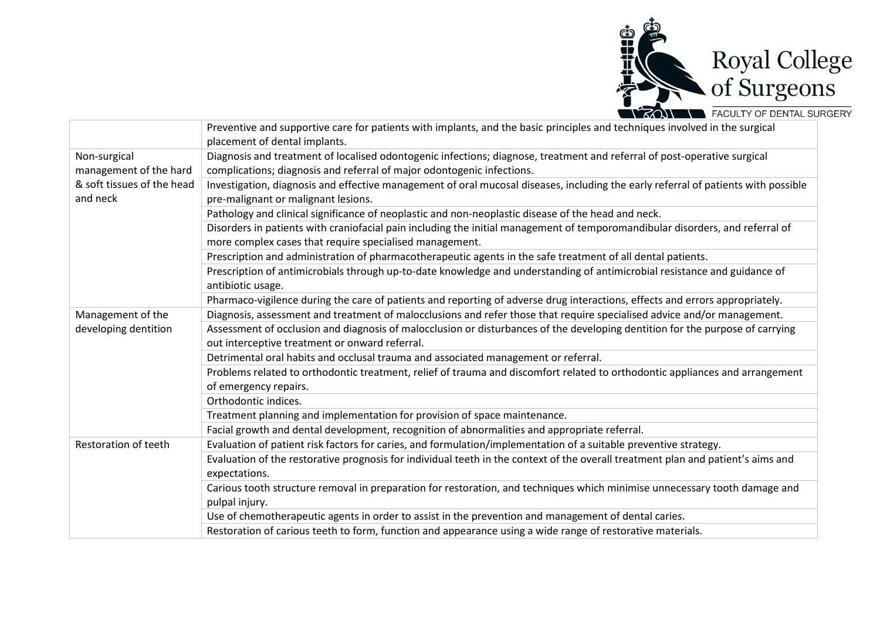

|                            | Preventive and supportive care for patients with implants, and the basic principles and techniques involved in the surgical<br>placement of dental implants.                    |
|----------------------------|---------------------------------------------------------------------------------------------------------------------------------------------------------------------------------|
| Non-surgical               | Diagnosis and treatment of localised odontogenic infections; diagnose, treatment and referral of post-operative surgical                                                        |
| management of the hard     | complications; diagnosis and referral of major odontogenic infections.                                                                                                          |
| & soft tissues of the head | Investigation, diagnosis and effective management of oral mucosal diseases, including the early referral of patients with possible                                              |
| and neck                   | pre-malignant or malignant lesions.                                                                                                                                             |
|                            |                                                                                                                                                                                 |
|                            | Pathology and clinical significance of neoplastic and non-neoplastic disease of the head and neck.                                                                              |
|                            | Disorders in patients with craniofacial pain including the initial management of temporomandibular disorders, and referral of                                                   |
|                            | more complex cases that require specialised management.                                                                                                                         |
|                            | Prescription and administration of pharmacotherapeutic agents in the safe treatment of all dental patients.                                                                     |
|                            | Prescription of antimicrobials through up-to-date knowledge and understanding of antimicrobial resistance and guidance of                                                       |
|                            | antibiotic usage.                                                                                                                                                               |
|                            | Pharmaco-vigilence during the care of patients and reporting of adverse drug interactions, effects and errors appropriately.                                                    |
| Management of the          | Diagnosis, assessment and treatment of malocclusions and refer those that require specialised advice and/or management.                                                         |
| developing dentition       | Assessment of occlusion and diagnosis of malocclusion or disturbances of the developing dentition for the purpose of carrying<br>out interceptive treatment or onward referral. |
|                            | Detrimental oral habits and occlusal trauma and associated management or referral.                                                                                              |
|                            | Problems related to orthodontic treatment, relief of trauma and discomfort related to orthodontic appliances and arrangement                                                    |
|                            | of emergency repairs.                                                                                                                                                           |
|                            | Orthodontic indices.                                                                                                                                                            |
|                            | Treatment planning and implementation for provision of space maintenance.                                                                                                       |
|                            | Facial growth and dental development, recognition of abnormalities and appropriate referral.                                                                                    |
| Restoration of teeth       | Evaluation of patient risk factors for caries, and formulation/implementation of a suitable preventive strategy.                                                                |
|                            | Evaluation of the restorative prognosis for individual teeth in the context of the overall treatment plan and patient's aims and                                                |
|                            | expectations.                                                                                                                                                                   |
|                            | Carious tooth structure removal in preparation for restoration, and techniques which minimise unnecessary tooth damage and                                                      |
|                            | pulpal injury.                                                                                                                                                                  |
|                            | Use of chemotherapeutic agents in order to assist in the prevention and management of dental caries.                                                                            |
|                            | Restoration of carious teeth to form, function and appearance using a wide range of restorative materials.                                                                      |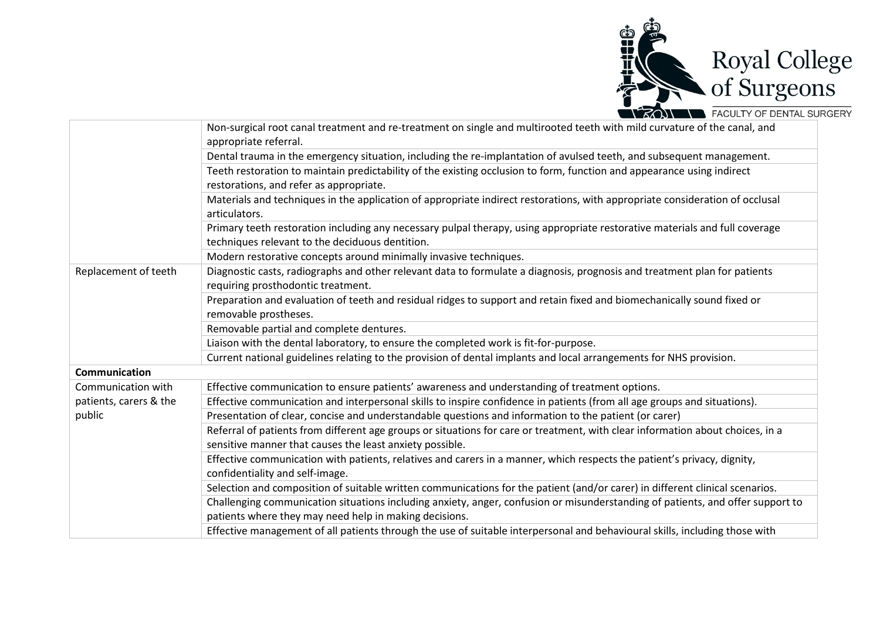

|                        | Non-surgical root canal treatment and re-treatment on single and multirooted teeth with mild curvature of the canal, and                      |
|------------------------|-----------------------------------------------------------------------------------------------------------------------------------------------|
|                        | appropriate referral.                                                                                                                         |
|                        | Dental trauma in the emergency situation, including the re-implantation of avulsed teeth, and subsequent management.                          |
|                        | Teeth restoration to maintain predictability of the existing occlusion to form, function and appearance using indirect                        |
|                        | restorations, and refer as appropriate.                                                                                                       |
|                        | Materials and techniques in the application of appropriate indirect restorations, with appropriate consideration of occlusal<br>articulators. |
|                        | Primary teeth restoration including any necessary pulpal therapy, using appropriate restorative materials and full coverage                   |
|                        | techniques relevant to the deciduous dentition.                                                                                               |
|                        | Modern restorative concepts around minimally invasive techniques.                                                                             |
| Replacement of teeth   | Diagnostic casts, radiographs and other relevant data to formulate a diagnosis, prognosis and treatment plan for patients                     |
|                        | requiring prosthodontic treatment.                                                                                                            |
|                        | Preparation and evaluation of teeth and residual ridges to support and retain fixed and biomechanically sound fixed or                        |
|                        | removable prostheses.                                                                                                                         |
|                        | Removable partial and complete dentures.                                                                                                      |
|                        | Liaison with the dental laboratory, to ensure the completed work is fit-for-purpose.                                                          |
|                        | Current national guidelines relating to the provision of dental implants and local arrangements for NHS provision.                            |
| Communication          |                                                                                                                                               |
| Communication with     | Effective communication to ensure patients' awareness and understanding of treatment options.                                                 |
| patients, carers & the | Effective communication and interpersonal skills to inspire confidence in patients (from all age groups and situations).                      |
| public                 | Presentation of clear, concise and understandable questions and information to the patient (or carer)                                         |
|                        | Referral of patients from different age groups or situations for care or treatment, with clear information about choices, in a                |
|                        | sensitive manner that causes the least anxiety possible.                                                                                      |
|                        | Effective communication with patients, relatives and carers in a manner, which respects the patient's privacy, dignity,                       |
|                        | confidentiality and self-image.                                                                                                               |
|                        | Selection and composition of suitable written communications for the patient (and/or carer) in different clinical scenarios.                  |
|                        | Challenging communication situations including anxiety, anger, confusion or misunderstanding of patients, and offer support to                |
|                        | patients where they may need help in making decisions.                                                                                        |
|                        | Effective management of all patients through the use of suitable interpersonal and behavioural skills, including those with                   |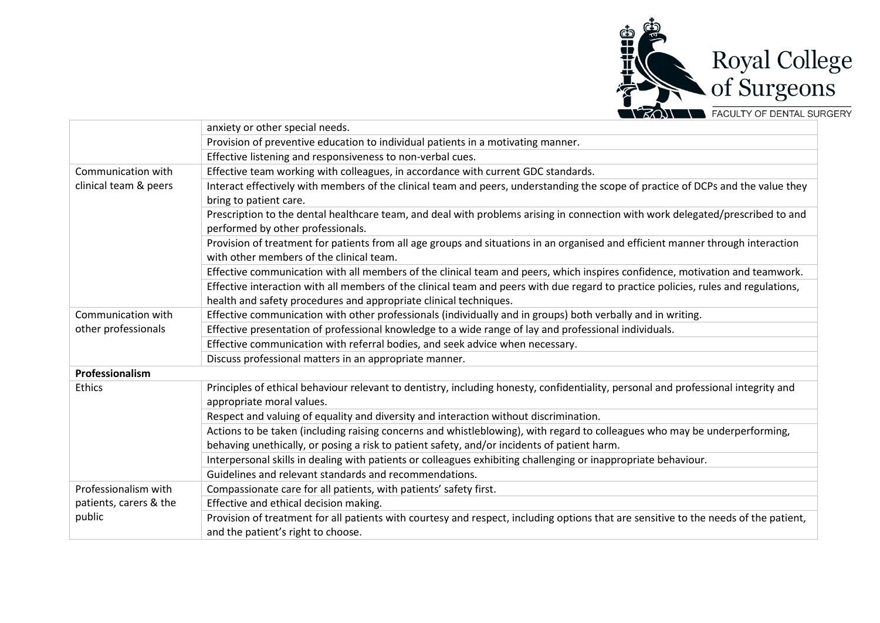

|                                  | anxiety or other special needs.                                                                                                      |
|----------------------------------|--------------------------------------------------------------------------------------------------------------------------------------|
|                                  | Provision of preventive education to individual patients in a motivating manner.                                                     |
|                                  | Effective listening and responsiveness to non-verbal cues.                                                                           |
| Communication with               | Effective team working with colleagues, in accordance with current GDC standards.                                                    |
| clinical team & peers            | Interact effectively with members of the clinical team and peers, understanding the scope of practice of DCPs and the value they     |
|                                  | bring to patient care.                                                                                                               |
|                                  | Prescription to the dental healthcare team, and deal with problems arising in connection with work delegated/prescribed to and       |
|                                  | performed by other professionals.                                                                                                    |
|                                  | Provision of treatment for patients from all age groups and situations in an organised and efficient manner through interaction      |
|                                  | with other members of the clinical team.                                                                                             |
|                                  | Effective communication with all members of the clinical team and peers, which inspires confidence, motivation and teamwork.         |
|                                  | Effective interaction with all members of the clinical team and peers with due regard to practice policies, rules and regulations,   |
|                                  | health and safety procedures and appropriate clinical techniques.                                                                    |
| Communication with               | Effective communication with other professionals (individually and in groups) both verbally and in writing.                          |
| other professionals              | Effective presentation of professional knowledge to a wide range of lay and professional individuals.                                |
|                                  | Effective communication with referral bodies, and seek advice when necessary.                                                        |
|                                  | Discuss professional matters in an appropriate manner.                                                                               |
| Professionalism                  |                                                                                                                                      |
| <b>Ethics</b>                    | Principles of ethical behaviour relevant to dentistry, including honesty, confidentiality, personal and professional integrity and   |
|                                  | appropriate moral values.                                                                                                            |
|                                  | Respect and valuing of equality and diversity and interaction without discrimination.                                                |
|                                  | Actions to be taken (including raising concerns and whistleblowing), with regard to colleagues who may be underperforming,           |
|                                  | behaving unethically, or posing a risk to patient safety, and/or incidents of patient harm.                                          |
|                                  | Interpersonal skills in dealing with patients or colleagues exhibiting challenging or inappropriate behaviour.                       |
|                                  | Guidelines and relevant standards and recommendations.                                                                               |
| Professionalism with             | Compassionate care for all patients, with patients' safety first.                                                                    |
| patients, carers & the<br>public | Effective and ethical decision making.                                                                                               |
|                                  | Provision of treatment for all patients with courtesy and respect, including options that are sensitive to the needs of the patient, |
|                                  | and the patient's right to choose.                                                                                                   |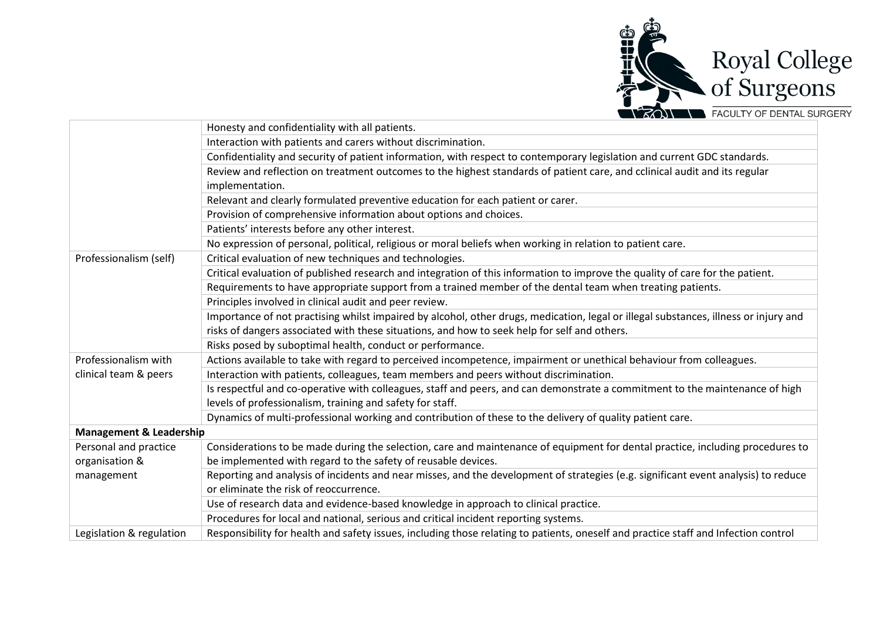

|                                    | Honesty and confidentiality with all patients.                                                                                       |
|------------------------------------|--------------------------------------------------------------------------------------------------------------------------------------|
|                                    | Interaction with patients and carers without discrimination.                                                                         |
|                                    | Confidentiality and security of patient information, with respect to contemporary legislation and current GDC standards.             |
|                                    | Review and reflection on treatment outcomes to the highest standards of patient care, and cclinical audit and its regular            |
|                                    | implementation.                                                                                                                      |
|                                    | Relevant and clearly formulated preventive education for each patient or carer.                                                      |
|                                    | Provision of comprehensive information about options and choices.                                                                    |
|                                    | Patients' interests before any other interest.                                                                                       |
|                                    | No expression of personal, political, religious or moral beliefs when working in relation to patient care.                           |
| Professionalism (self)             | Critical evaluation of new techniques and technologies.                                                                              |
|                                    | Critical evaluation of published research and integration of this information to improve the quality of care for the patient.        |
|                                    | Requirements to have appropriate support from a trained member of the dental team when treating patients.                            |
|                                    | Principles involved in clinical audit and peer review.                                                                               |
|                                    | Importance of not practising whilst impaired by alcohol, other drugs, medication, legal or illegal substances, illness or injury and |
|                                    | risks of dangers associated with these situations, and how to seek help for self and others.                                         |
|                                    | Risks posed by suboptimal health, conduct or performance.                                                                            |
| Professionalism with               | Actions available to take with regard to perceived incompetence, impairment or unethical behaviour from colleagues.                  |
| clinical team & peers              | Interaction with patients, colleagues, team members and peers without discrimination.                                                |
|                                    | Is respectful and co-operative with colleagues, staff and peers, and can demonstrate a commitment to the maintenance of high         |
|                                    | levels of professionalism, training and safety for staff.                                                                            |
|                                    | Dynamics of multi-professional working and contribution of these to the delivery of quality patient care.                            |
| <b>Management &amp; Leadership</b> |                                                                                                                                      |
| Personal and practice              | Considerations to be made during the selection, care and maintenance of equipment for dental practice, including procedures to       |
| organisation &                     | be implemented with regard to the safety of reusable devices.                                                                        |
| management                         | Reporting and analysis of incidents and near misses, and the development of strategies (e.g. significant event analysis) to reduce   |
|                                    | or eliminate the risk of reoccurrence.                                                                                               |
|                                    | Use of research data and evidence-based knowledge in approach to clinical practice.                                                  |
|                                    | Procedures for local and national, serious and critical incident reporting systems.                                                  |
| Legislation & regulation           | Responsibility for health and safety issues, including those relating to patients, oneself and practice staff and Infection control  |